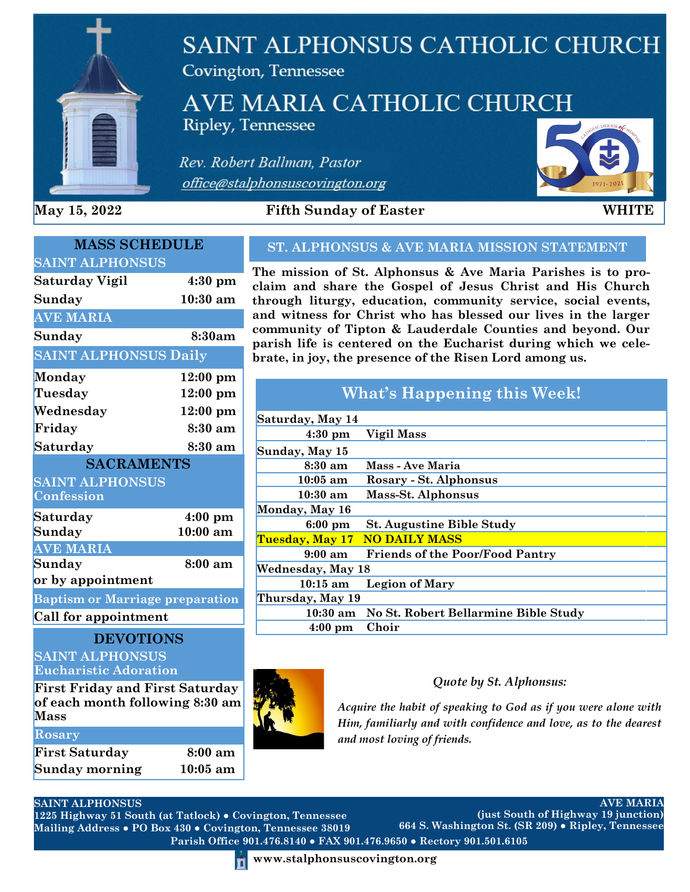

## **SAINT ALPHONSUS CATHOLIC CHURCH**

Covington, Tennessee

#### AVE MARIA CATHOLIC CHURCH **Ripley, Tennessee**

Rev. Robert Ballman, Pastor office@stalphonsuscovington.org



**May 15, 2022 Fifth Sunday of Easter WHITE** 

#### **SAINT ALPHONSUS Daily Monday 12:00 pm MASS SCHEDULE SAINT ALPHONSUS Saturday Vigil 4:30 pm Sunday 10:30 am AVE MARIA Sunday 8:30am**

| Tuesday                              | $12:00$ pm        |
|--------------------------------------|-------------------|
| Wednesday                            | 12:00 pm          |
| Friday                               | 8:30 am           |
| Saturday                             | 8:30 am           |
| <b>SACRAMENTS</b>                    |                   |
| <b>SAINT ALPHONSUS</b><br>Confession |                   |
| Saturday                             | $4:00 \text{ pm}$ |

| <u>wavai uu y</u>                      | TO ATT   |
|----------------------------------------|----------|
| Sunday                                 | 10:00 am |
| <b>AVE MARIA</b>                       |          |
| Sunday                                 | 8:00 am  |
| or by appointment                      |          |
| <b>Baptism or Marriage preparation</b> |          |
| $C_2$ ll for annaintment               |          |

#### **Call for appointment**

#### **DEVOTIONS**

#### **SAINT ALPHONSUS Eucharistic Adoration**

**First Friday and First Saturday of each month following 8:30 am Mass** 

**Rosary**

**First Saturday 8:00 am Sunday morning 10:05 am**

**ST. ALPHONSUS & AVE MARIA MISSION STATEMENT**

**The mission of St. Alphonsus & Ave Maria Parishes is to proclaim and share the Gospel of Jesus Christ and His Church through liturgy, education, community service, social events, and witness for Christ who has blessed our lives in the larger community of Tipton & Lauderdale Counties and beyond. Our parish life is centered on the Eucharist during which we celebrate, in joy, the presence of the Risen Lord among us.**

| <b>What's Happening this Week!</b> |                                               |  |  |  |  |
|------------------------------------|-----------------------------------------------|--|--|--|--|
| Saturday, May 14                   |                                               |  |  |  |  |
| $4:30$ pm                          | Vigil Mass                                    |  |  |  |  |
| Sunday, May 15                     |                                               |  |  |  |  |
| $8:30 \text{ am}$                  | Mass - Ave Maria                              |  |  |  |  |
| $10:05$ am                         | Rosary - St. Alphonsus                        |  |  |  |  |
| $10:30$ am                         | Mass-St. Alphonsus                            |  |  |  |  |
| Monday, May 16                     |                                               |  |  |  |  |
| $6:00 \text{ pm}$                  | <b>St. Augustine Bible Study</b>              |  |  |  |  |
| Tuesday, May 17 NO DAILY MASS      |                                               |  |  |  |  |
| $9:00 \text{ am}$                  | <b>Friends of the Poor/Food Pantry</b>        |  |  |  |  |
| Wednesday, May 18                  |                                               |  |  |  |  |
| $10:15 \text{ am}$                 | <b>Legion of Mary</b>                         |  |  |  |  |
| Thursday, May 19                   |                                               |  |  |  |  |
|                                    | 10:30 am No St. Robert Bellarmine Bible Study |  |  |  |  |
| $4:00 \text{ pm}$                  | Choir                                         |  |  |  |  |



#### *Quote by St. Alphonsus:*

*[Acquire the habit of speaking to God as if you were alone with](http://www.brainyquote.com/quotes/quotes/a/alphonsusl358202.html)  [Him, familiarly and with confidence and love, as to the dearest](http://www.brainyquote.com/quotes/quotes/a/alphonsusl358202.html)  [and most loving of friends.](http://www.brainyquote.com/quotes/quotes/a/alphonsusl358202.html)*

**SAINT ALPHONSUS 1225 Highway 51 South (at Tatlock) ● Covington, Tennessee Mailing Address ● PO Box 430 ● Covington, Tennessee 38019**

**Parish Office 901.476.8140 ● FAX 901.476.9650 ● Rectory 901.501.6105 AVE MARIA (just South of Highway 19 junction) 664 S. Washington St. (SR 209) ● Ripley, Tennessee**

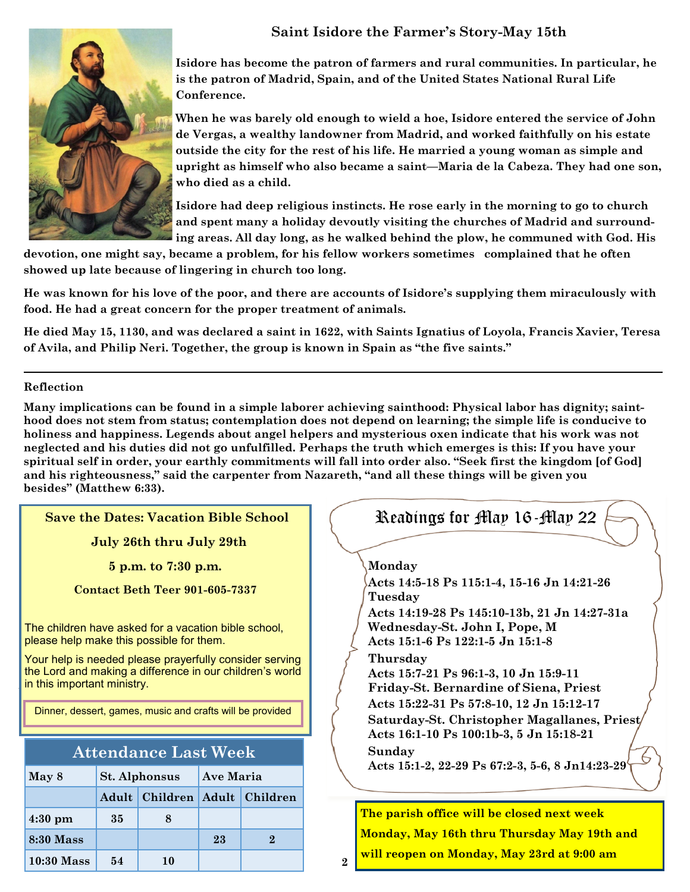#### **Saint Isidore the Farmer's Story-May 15th**



**Isidore has become the patron of farmers and rural communities. In particular, he is the patron of Madrid, Spain, and of the United States National Rural Life Conference.**

**When he was barely old enough to wield a hoe, Isidore entered the service of John de Vergas, a wealthy landowner from Madrid, and worked faithfully on his estate outside the city for the rest of his life. He married a young woman as simple and upright as himself who also became a saint—Maria de la Cabeza. They had one son, who died as a child.**

**Isidore had deep religious instincts. He rose early in the morning to go to church and spent many a holiday devoutly visiting the churches of Madrid and surrounding areas. All day long, as he walked behind the plow, he communed with God. His** 

**devotion, one might say, became a problem, for his fellow workers sometimes complained that he often showed up late because of lingering in church too long.**

**He was known for his love of the poor, and there are accounts of Isidore's supplying them miraculously with food. He had a great concern for the proper treatment of animals.**

**He died May 15, 1130, and was declared a saint in 1622, with Saints Ignatius of Loyola, Francis Xavier, Teresa of Avila, and Philip Neri. Together, the group is known in Spain as "the five saints."**

#### **Reflection**

**10:30 Mass 54 10**

**Many implications can be found in a simple laborer achieving sainthood: Physical labor has dignity; sainthood does not stem from status; contemplation does not depend on learning; the simple life is conducive to holiness and happiness. Legends about angel helpers and mysterious oxen indicate that his work was not neglected and his duties did not go unfulfilled. Perhaps the truth which emerges is this: If you have your spiritual self in order, your earthly commitments will fall into order also. "Seek first the kingdom [of God] and his righteousness," said the carpenter from Nazareth, "and all these things will be given you besides" (Matthew 6:33).**

| <b>Save the Dates: Vacation Bible School</b>                                                                                                       |      | Readings for May 16-May 22                                                                                                              |    |                                                       |                                             |  |
|----------------------------------------------------------------------------------------------------------------------------------------------------|------|-----------------------------------------------------------------------------------------------------------------------------------------|----|-------------------------------------------------------|---------------------------------------------|--|
| July 26th thru July 29th                                                                                                                           |      |                                                                                                                                         |    |                                                       |                                             |  |
| $5$ p.m. to $7:30$ p.m.                                                                                                                            |      |                                                                                                                                         |    | <b>Monday</b>                                         |                                             |  |
| <b>Contact Beth Teer 901-605-7337</b>                                                                                                              |      |                                                                                                                                         |    | Acts 14:5-18 Ps 115:1-4, 15-16 Jn 14:21-26<br>Tuesday |                                             |  |
| The children have asked for a vacation bible school,<br>please help make this possible for them.                                                   |      | Acts 14:19-28 Ps 145:10-13b, 21 Jn 14:27-31a<br>Wednesday-St. John I, Pope, M<br>Acts 15:1-6 Ps 122:1-5 Jn 15:1-8                       |    |                                                       |                                             |  |
| Your help is needed please prayerfully consider serving<br>the Lord and making a difference in our children's world<br>in this important ministry. |      | Thursday<br>Acts 15:7-21 Ps 96:1-3, 10 Jn 15:9-11<br>Friday-St. Bernardine of Siena, Priest<br>Acts 15:22-31 Ps 57:8-10, 12 Jn 15:12-17 |    |                                                       |                                             |  |
| Dinner, dessert, games, music and crafts will be provided                                                                                          |      | Saturday-St. Christopher Magallanes, Priest<br>Acts 16:1-10 Ps 100:1b-3, 5 Jn 15:18-21                                                  |    |                                                       |                                             |  |
| <b>Attendance Last Week</b>                                                                                                                        |      | Sunday                                                                                                                                  |    |                                                       |                                             |  |
| May 8<br><b>St. Alphonsus</b><br>Ave Maria                                                                                                         |      | Acts 15:1-2, 22-29 Ps 67:2-3, 5-6, 8 Jn14:23-29                                                                                         |    |                                                       |                                             |  |
|                                                                                                                                                    |      | Adult   Children   Adult                                                                                                                |    | Children                                              |                                             |  |
| $4:30$ pm                                                                                                                                          | 35   | 8                                                                                                                                       |    |                                                       | The parish office will be closed next week  |  |
| <b>8:30 Mass</b>                                                                                                                                   |      |                                                                                                                                         | 23 | $\overline{2}$                                        | Monday, May 16th thru Thursday May 19th and |  |
| 10.003                                                                                                                                             | $-1$ | $\sim$                                                                                                                                  |    |                                                       | will reopen on Monday, May 23rd at 9:00 am  |  |

**2**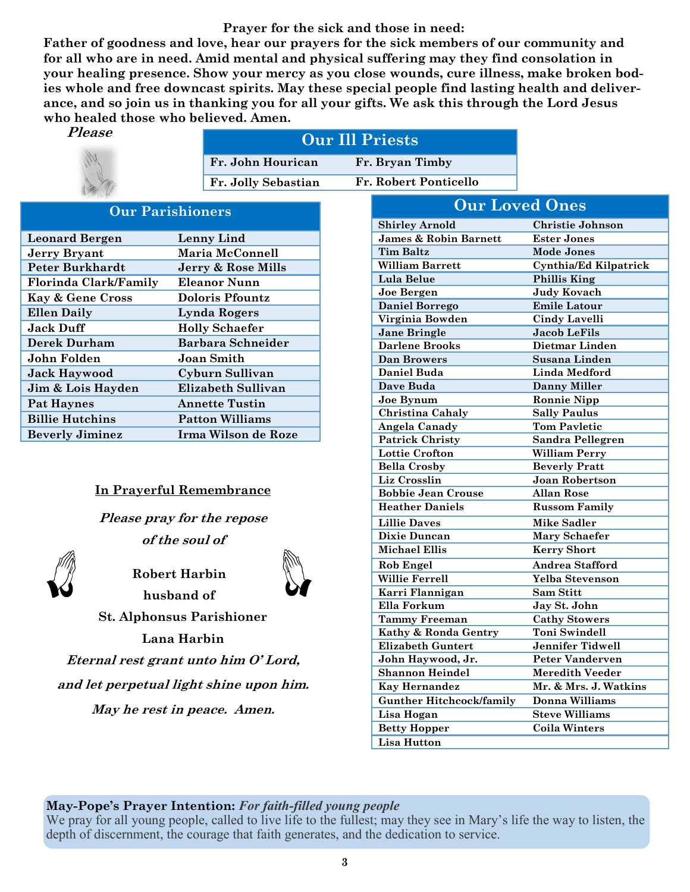#### **Prayer for the sick and those in need:**

**Father of goodness and love, hear our prayers for the sick members of our community and for all who are in need. Amid mental and physical suffering may they find consolation in your healing presence. Show your mercy as you close wounds, cure illness, make broken bodies whole and free downcast spirits. May these special people find lasting health and deliverance, and so join us in thanking you for all your gifts. We ask this through the Lord Jesus who healed those who believed. Amen.** 

**Please** 



| <b>Our Ill Priests</b> |                       |  |  |
|------------------------|-----------------------|--|--|
| Fr. John Hourican      | Fr. Bryan Timby       |  |  |
| Fr. Jolly Sebastian    | Fr. Robert Ponticello |  |  |

| <b>Our Parishioners</b>      |                           |  |  |  |
|------------------------------|---------------------------|--|--|--|
| <b>Leonard Bergen</b>        | Lenny Lind                |  |  |  |
| <b>Jerry Bryant</b>          | Maria McConnell           |  |  |  |
| Peter Burkhardt              | Jerry & Rose Mills        |  |  |  |
| <b>Florinda Clark/Family</b> | Eleanor Nunn              |  |  |  |
| <b>Kay &amp; Gene Cross</b>  | <b>Doloris Pfountz</b>    |  |  |  |
| <b>Ellen Daily</b>           | Lynda Rogers              |  |  |  |
| <b>Jack Duff</b>             | <b>Holly Schaefer</b>     |  |  |  |
| <b>Derek Durham</b>          | <b>Barbara Schneider</b>  |  |  |  |
| John Folden                  | Joan Smith                |  |  |  |
| <b>Jack Haywood</b>          | Cyburn Sullivan           |  |  |  |
| Jim & Lois Hayden            | <b>Elizabeth Sullivan</b> |  |  |  |
| Pat Haynes                   | <b>Annette Tustin</b>     |  |  |  |
| <b>Billie Hutchins</b>       | <b>Patton Williams</b>    |  |  |  |
| <b>Beverly Jiminez</b>       | Irma Wilson de Roze       |  |  |  |

#### **In Prayerful Remembrance**

**Please pray for the repose** 



**of the soul of**

**Robert Harbin**

**St. Alphonsus Parishioner Lana Harbin Eternal rest grant unto him O' Lord,**

**husband of** 

**and let perpetual light shine upon him. May he rest in peace. Amen.**

| <b>Our Loved Ones</b>            |                         |  |  |  |
|----------------------------------|-------------------------|--|--|--|
| <b>Shirley Arnold</b>            | <b>Christie Johnson</b> |  |  |  |
| <b>James &amp; Robin Barnett</b> | <b>Ester Jones</b>      |  |  |  |
| <b>Tim Baltz</b>                 | <b>Mode Jones</b>       |  |  |  |
| <b>William Barrett</b>           | Cynthia/Ed Kilpatrick   |  |  |  |
| Lula Belue                       | <b>Phillis King</b>     |  |  |  |
| Joe Bergen                       | <b>Judy Kovach</b>      |  |  |  |
| <b>Daniel Borrego</b>            | <b>Emile Latour</b>     |  |  |  |
| Virginia Bowden                  | <b>Cindy Lavelli</b>    |  |  |  |
| <b>Jane Bringle</b>              | <b>Jacob LeFils</b>     |  |  |  |
| <b>Darlene Brooks</b>            | Dietmar Linden          |  |  |  |
| <b>Dan Browers</b>               | <b>Susana Linden</b>    |  |  |  |
| Daniel Buda                      | Linda Medford           |  |  |  |
| Dave Buda                        | <b>Danny Miller</b>     |  |  |  |
| Joe Bynum                        | <b>Ronnie Nipp</b>      |  |  |  |
| Christina Cahaly                 | <b>Sally Paulus</b>     |  |  |  |
| Angela Canady                    | <b>Tom Pavletic</b>     |  |  |  |
| <b>Patrick Christy</b>           | <b>Sandra Pellegren</b> |  |  |  |
| Lottie Crofton                   | <b>William Perry</b>    |  |  |  |
| <b>Bella Crosby</b>              | <b>Beverly Pratt</b>    |  |  |  |
| Liz Crosslin                     | <b>Joan Robertson</b>   |  |  |  |
| <b>Bobbie Jean Crouse</b>        | Allan Rose              |  |  |  |
| <b>Heather Daniels</b>           | <b>Russom Family</b>    |  |  |  |
| <b>Lillie Daves</b>              | <b>Mike Sadler</b>      |  |  |  |
| Dixie Duncan                     | <b>Mary Schaefer</b>    |  |  |  |
| <b>Michael Ellis</b>             | <b>Kerry Short</b>      |  |  |  |
| <b>Rob Engel</b>                 | <b>Andrea Stafford</b>  |  |  |  |
| <b>Willie Ferrell</b>            | Yelba Stevenson         |  |  |  |
| Karri Flannigan                  | Sam Stitt               |  |  |  |
| Ella Forkum                      | Jay St. John            |  |  |  |
| <b>Tammy Freeman</b>             | <b>Cathy Stowers</b>    |  |  |  |
| Kathy & Ronda Gentry             | <b>Toni Swindell</b>    |  |  |  |
| <b>Elizabeth Guntert</b>         | Jennifer Tidwell        |  |  |  |
| John Haywood, Jr.                | <b>Peter Vanderven</b>  |  |  |  |
| <b>Shannon Heindel</b>           | <b>Meredith Veeder</b>  |  |  |  |
| <b>Kay Hernandez</b>             | Mr. & Mrs. J. Watkins   |  |  |  |
| <b>Gunther Hitchcock/family</b>  | Donna Williams          |  |  |  |
| Lisa Hogan                       | <b>Steve Williams</b>   |  |  |  |
| <b>Betty Hopper</b>              | Coila Winters           |  |  |  |
| Lisa Hutton                      |                         |  |  |  |

#### **May-Pope's Prayer Intention:** *For faith-filled young people*

We pray for all young people, called to live life to the fullest; may they see in Mary's life the way to listen, the depth of discernment, the courage that faith generates, and the dedication to service.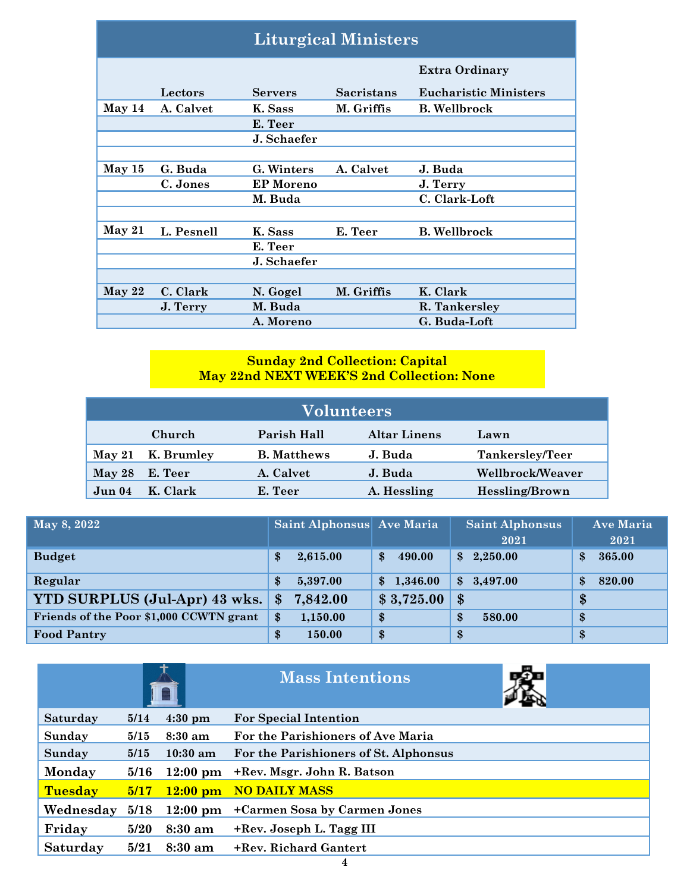| <b>Liturgical Ministers</b> |            |                  |                   |                              |
|-----------------------------|------------|------------------|-------------------|------------------------------|
|                             |            |                  |                   | <b>Extra Ordinary</b>        |
|                             | Lectors    | <b>Servers</b>   | <b>Sacristans</b> | <b>Eucharistic Ministers</b> |
| May 14                      | A. Calvet  | K. Sass          | M. Griffis        | <b>B.</b> Wellbrock          |
|                             |            | E. Teer          |                   |                              |
|                             |            | J. Schaefer      |                   |                              |
|                             |            |                  |                   |                              |
| May 15                      | G. Buda    | G. Winters       | A. Calvet         | J. Buda                      |
|                             | C. Jones   | <b>EP</b> Moreno |                   | J. Terry                     |
|                             |            | M. Buda          |                   | C. Clark-Loft                |
|                             |            |                  |                   |                              |
| May 21                      | L. Pesnell | K. Sass          | E. Teer           | <b>B.</b> Wellbrock          |
|                             |            | E. Teer          |                   |                              |
|                             |            | J. Schaefer      |                   |                              |
|                             |            |                  |                   |                              |
| May 22                      | C. Clark   | N. Gogel         | M. Griffis        | K. Clark                     |
|                             | J. Terry   | M. Buda          |                   | R. Tankersley                |
|                             |            | A. Moreno        |                   | G. Buda-Loft                 |

#### **Sunday 2nd Collection: Capital May 22nd NEXT WEEK'S 2nd Collection: None**

| <b>Volunteers</b> |            |                    |                     |                       |  |
|-------------------|------------|--------------------|---------------------|-----------------------|--|
|                   | Church     | Parish Hall        | <b>Altar Linens</b> | Lawn                  |  |
| May 21            | K. Brumley | <b>B.</b> Matthews | J. Buda             | Tankersley/Teer       |  |
| May 28            | E. Teer    | A. Calvet          | J. Buda             | Wellbrock/Weaver      |  |
| Jun <sub>04</sub> | K. Clark   | E. Teer            | A. Hessling         | <b>Hessling/Brown</b> |  |

| May 8, 2022                             | Saint Alphonsus Ave Maria     |                          | <b>Saint Alphonsus</b>    | <b>Ave Maria</b>  |
|-----------------------------------------|-------------------------------|--------------------------|---------------------------|-------------------|
|                                         |                               |                          | 2021                      | 2021              |
| <b>Budget</b>                           | $\mathbf{s}$<br>2,615.00      | $\mathbf{\$}$<br>490.00  | 2,250.00<br>$\mathbf{\$}$ | 365.00<br>\$      |
| Regular                                 | 5,397.00<br>$\mathbf{\$}$     | 1,346.00<br>$\mathbf{s}$ | 3,497.00<br>$\mathbf{\$}$ | 820.00            |
| YTD SURPLUS (Jul-Apr) 43 wks.           | 7,842.00<br>$\boldsymbol{\$}$ | \$3,725.00               | $\mathbf{\$}$             | $\boldsymbol{\$}$ |
| Friends of the Poor \$1,000 CCWTN grant | \$<br>1,150.00                | \$                       | \$<br>580.00              | \$                |
| <b>Food Pantry</b>                      | 150.00<br>$\mathbf{\$}$       | \$                       | \$                        | \$                |

|                |      |                    | <b>Mass Intentions</b>                |  |
|----------------|------|--------------------|---------------------------------------|--|
| Saturday       | 5/14 | $4:30$ pm          | <b>For Special Intention</b>          |  |
| Sunday         | 5/15 | $8:30 \text{ am}$  | For the Parishioners of Ave Maria     |  |
| Sunday         | 5/15 | $10:30$ am         | For the Parishioners of St. Alphonsus |  |
| Monday         | 5/16 | $12:00 \text{ pm}$ | +Rev. Msgr. John R. Batson            |  |
| <b>Tuesday</b> | 5/17 | $12:00$ pm         | <b>NO DAILY MASS</b>                  |  |
| Wednesday      | 5/18 | $12:00 \text{ pm}$ | +Carmen Sosa by Carmen Jones          |  |
| Friday         | 5/20 | 8:30 am            | +Rev. Joseph L. Tagg III              |  |
| Saturday       | 5/21 | 8:30 am            | +Rev. Richard Gantert                 |  |
|                |      |                    | 4                                     |  |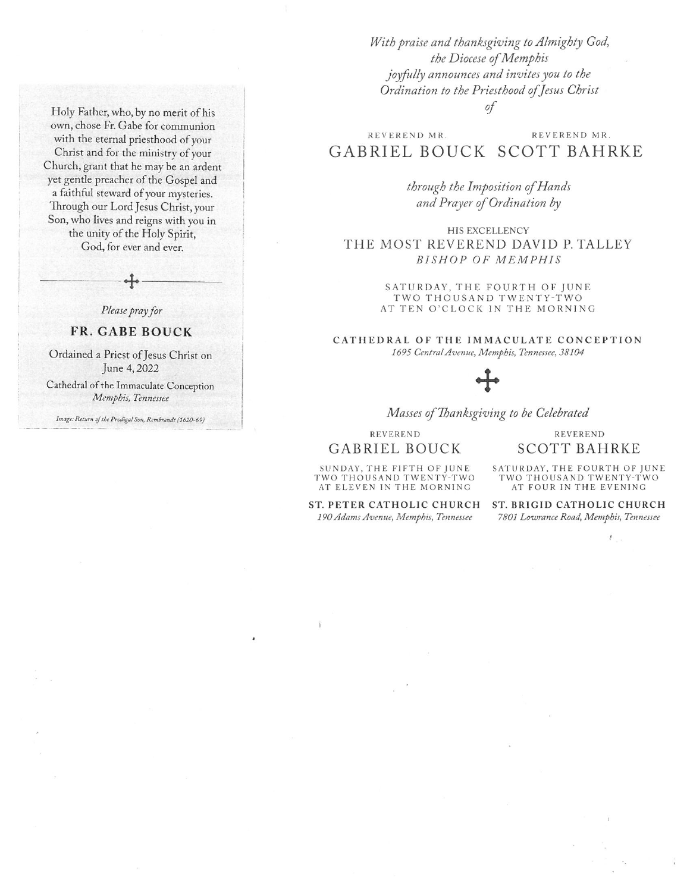With praise and thanksgiving to Almighty God, the Diocese of Memphis joyfully announces and invites you to the Ordination to the Priesthood of Jesus Christ of

#### REVEREND MR REVEREND MR. GABRIEL BOUCK SCOTT BAHRKE

through the Imposition of Hands and Prayer of Ordination by

HIS EXCELLENCY THE MOST REVEREND DAVID P. TALLEY **BISHOP OF MEMPHIS** 

> SATURDAY, THE FOURTH OF JUNE TWO THOUSAND TWENTY-TWO AT TEN O'CLOCK IN THE MORNING

CATHEDRAL OF THE IMMACULATE CONCEPTION 1695 Central Avenue, Memphis, Tennessee, 38104

Masses of Thanksgiving to be Celebrated

REVEREND **GABRIEL BOUCK** 

SUNDAY, THE FIFTH OF JUNE<br>TWO THOUSAND TWENTY-TWO<br>AT ELEVEN IN THE MORNING

ST. PETER CATHOLIC CHURCH 190 Adams Avenue, Memphis, Tennessee

REVEREND **SCOTT BAHRKE** 

SATURDAY, THE FOURTH OF JUNE<br>TWO THOUSAND TWENTY-TWO AT FOUR IN THE EVENING

ST. BRIGID CATHOLIC CHURCH 7801 Lowrance Road, Memphis, Tennessee

 $\mathbf{r}$ 

Holy Father, who, by no merit of his own, chose Fr. Gabe for communion with the eternal priesthood of your Christ and for the ministry of your Church, grant that he may be an ardent yet gentle preacher of the Gospel and a faithful steward of your mysteries. Through our Lord Jesus Christ, your Son, who lives and reigns with you in the unity of the Holy Spirit, God, for ever and ever.

Please pray for

**FR. GABE BOUCK** 

Ordained a Priest of Jesus Christ on June 4, 2022

Cathedral of the Immaculate Conception Memphis, Tennessee

Image: Return of the Prodigal Son, Rembrandt (1620-69)